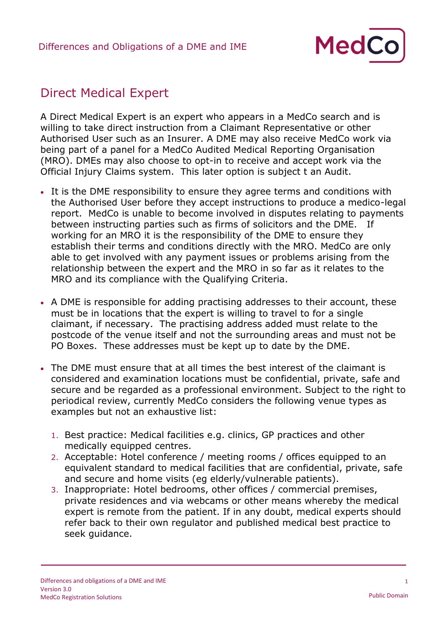

## Direct Medical Expert

A Direct Medical Expert is an expert who appears in a MedCo search and is willing to take direct instruction from a Claimant Representative or other Authorised User such as an Insurer. A DME may also receive MedCo work via being part of a panel for a MedCo Audited Medical Reporting Organisation (MRO). DMEs may also choose to opt-in to receive and accept work via the Official Injury Claims system. This later option is subject t an Audit.

- It is the DME responsibility to ensure they agree terms and conditions with the Authorised User before they accept instructions to produce a medico-legal report. MedCo is unable to become involved in disputes relating to payments between instructing parties such as firms of solicitors and the DME. If working for an MRO it is the responsibility of the DME to ensure they establish their terms and conditions directly with the MRO. MedCo are only able to get involved with any payment issues or problems arising from the relationship between the expert and the MRO in so far as it relates to the MRO and its compliance with the Qualifying Criteria.
- A DME is responsible for adding practising addresses to their account, these must be in locations that the expert is willing to travel to for a single claimant, if necessary. The practising address added must relate to the postcode of the venue itself and not the surrounding areas and must not be PO Boxes. These addresses must be kept up to date by the DME.
- The DME must ensure that at all times the best interest of the claimant is considered and examination locations must be confidential, private, safe and secure and be regarded as a professional environment. Subject to the right to periodical review, currently MedCo considers the following venue types as examples but not an exhaustive list:
	- 1. Best practice: Medical facilities e.g. clinics, GP practices and other medically equipped centres.
	- 2. Acceptable: Hotel conference / meeting rooms / offices equipped to an equivalent standard to medical facilities that are confidential, private, safe and secure and home visits (eg elderly/vulnerable patients).
	- 3. Inappropriate: Hotel bedrooms, other offices / commercial premises, private residences and via webcams or other means whereby the medical expert is remote from the patient. If in any doubt, medical experts should refer back to their own regulator and published medical best practice to seek guidance.

1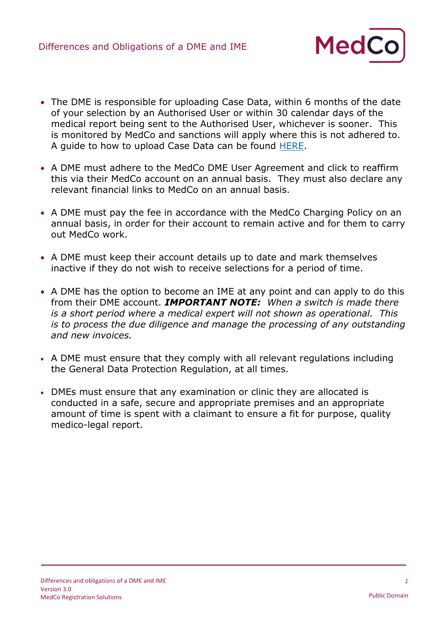

- The DME is responsible for uploading Case Data, within 6 months of the date of your selection by an Authorised User or within 30 calendar days of the medical report being sent to the Authorised User, whichever is sooner. This is monitored by MedCo and sanctions will apply where this is not adhered to. A guide to how to upload Case Data can be found [HERE.](https://www.medco.org.uk/media/1229/manually-upload-case-data-and-view-close-cases-v30.pdf)
- A DME must adhere to the MedCo DME User Agreement and click to reaffirm this via their MedCo account on an annual basis. They must also declare any relevant financial links to MedCo on an annual basis.
- A DME must pay the fee in accordance with the MedCo Charging Policy on an annual basis, in order for their account to remain active and for them to carry out MedCo work.
- A DME must keep their account details up to date and mark themselves inactive if they do not wish to receive selections for a period of time.
- A DME has the option to become an IME at any point and can apply to do this from their DME account. *IMPORTANT NOTE: When a switch is made there is a short period where a medical expert will not shown as operational. This is to process the due diligence and manage the processing of any outstanding and new invoices.*
- A DME must ensure that they comply with all relevant regulations including the General Data Protection Regulation, at all times.
- DMEs must ensure that any examination or clinic they are allocated is conducted in a safe, secure and appropriate premises and an appropriate amount of time is spent with a claimant to ensure a fit for purpose, quality medico-legal report.